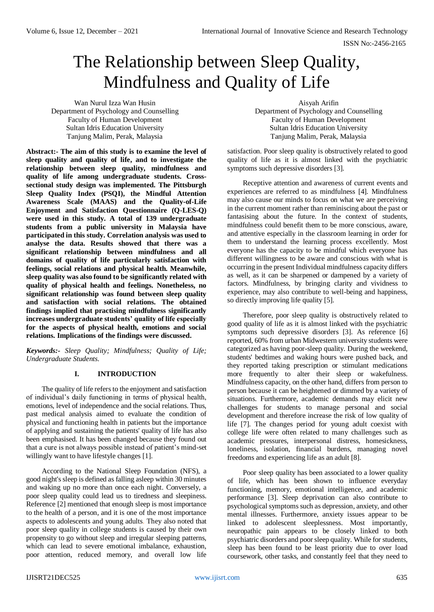# The Relationship between Sleep Quality, Mindfulness and Quality of Life

Wan Nurul Izza Wan Husin Department of Psychology and Counselling Faculty of Human Development Sultan Idris Education University Tanjung Malim, Perak, Malaysia

**Abstract:- The aim of this study is to examine the level of sleep quality and quality of life, and to investigate the relationship between sleep quality, mindfulness and quality of life among undergraduate students. Crosssectional study design was implemented. The Pittsburgh Sleep Quality Index (PSQI), the Mindful Attention Awareness Scale (MAAS) and the Quality-of-Life Enjoyment and Satisfaction Questionnaire (Q-LES-Q) were used in this study. A total of 139 undergraduate students from a public university in Malaysia have participated in this study. Correlation analysis was used to analyse the data. Results showed that there was a significant relationship between mindfulness and all domains of quality of life particularly satisfaction with feelings, social relations and physical health. Meanwhile, sleep quality was also found to be significantly related with quality of physical health and feelings. Nonetheless, no significant relationship was found between sleep quality and satisfaction with social relations. The obtained findings implied that practising mindfulness significantly increases undergraduate students' quality of life especially for the aspects of physical health, emotions and social relations. Implications of the findings were discussed.**

*Keywords:- Sleep Quality; Mindfulness; Quality of Life; Undergraduate Students.*

## **I. INTRODUCTION**

The quality of life refers to the enjoyment and satisfaction of individual's daily functioning in terms of physical health, emotions, level of independence and the social relations. Thus, past medical analysis aimed to evaluate the condition of physical and functioning health in patients but the importance of applying and sustaining the patients' quality of life has also been emphasised. It has been changed because they found out that a cure is not always possible instead of patient's mind-set willingly want to have lifestyle changes [1].

According to the National Sleep Foundation (NFS), a good night's sleep is defined as falling asleep within 30 minutes and waking up no more than once each night. Conversely, a poor sleep quality could lead us to tiredness and sleepiness. Reference [2] mentioned that enough sleep is most importance to the health of a person, and it is one of the most importance aspects to adolescents and young adults. They also noted that poor sleep quality in college students is caused by their own propensity to go without sleep and irregular sleeping patterns, which can lead to severe emotional imbalance, exhaustion, poor attention, reduced memory, and overall low life

Aisyah Arifin Department of Psychology and Counselling Faculty of Human Development Sultan Idris Education University Tanjung Malim, Perak, Malaysia

satisfaction. Poor sleep quality is obstructively related to good quality of life as it is almost linked with the psychiatric symptoms such depressive disorders [3].

Receptive attention and awareness of current events and experiences are referred to as mindfulness [4]. Mindfulness may also cause our minds to focus on what we are perceiving in the current moment rather than reminiscing about the past or fantasising about the future. In the context of students, mindfulness could benefit them to be more conscious, aware, and attentive especially in the classroom learning in order for them to understand the learning process excellently. Most everyone has the capacity to be mindful which everyone has different willingness to be aware and conscious with what is occurring in the present Individual mindfulness capacity differs as well, as it can be sharpened or dampened by a variety of factors. Mindfulness, by bringing clarity and vividness to experience, may also contribute to well-being and happiness, so directly improving life quality [5].

Therefore, poor sleep quality is obstructively related to good quality of life as it is almost linked with the psychiatric symptoms such depressive disorders [3]. As reference [6] reported, 60% from urban Midwestern university students were categorized as having poor-sleep quality. During the weekend, students' bedtimes and waking hours were pushed back, and they reported taking prescription or stimulant medications more frequently to alter their sleep or wakefulness. Mindfulness capacity, on the other hand, differs from person to person because it can be heightened or dimmed by a variety of situations. Furthermore, academic demands may elicit new challenges for students to manage personal and social development and therefore increase the risk of low quality of life [7]. The changes period for young adult coexist with college life were often related to many challenges such as academic pressures, interpersonal distress, homesickness, loneliness, isolation, financial burdens, managing novel freedoms and experiencing life as an adult [8].

Poor sleep quality has been associated to a lower quality of life, which has been shown to influence everyday functioning, memory, emotional intelligence, and academic performance [3]. Sleep deprivation can also contribute to psychological symptoms such as depression, anxiety, and other mental illnesses. Furthermore, anxiety issues appear to be linked to adolescent sleeplessness. Most importantly, neuropathic pain appears to be closely linked to both psychiatric disorders and poor sleep quality. While for students, sleep has been found to be least priority due to over load coursework, other tasks, and constantly feel that they need to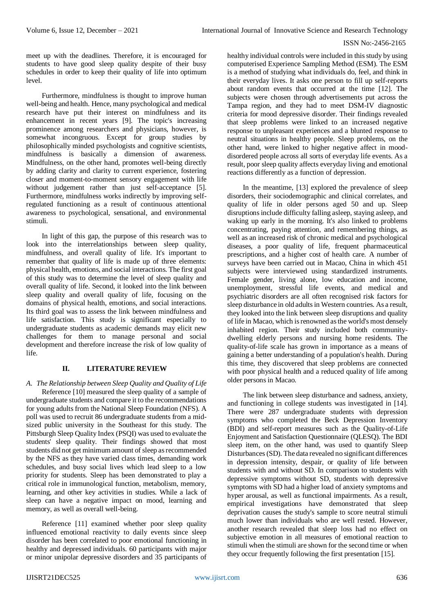meet up with the deadlines. Therefore, it is encouraged for students to have good sleep quality despite of their busy schedules in order to keep their quality of life into optimum level.

Furthermore, mindfulness is thought to improve human well-being and health. Hence, many psychological and medical research have put their interest on mindfulness and its enhancement in recent years [9]. The topic's increasing prominence among researchers and physicians, however, is somewhat incongruous. Except for group studies by philosophically minded psychologists and cognitive scientists, mindfulness is basically a dimension of awareness. Mindfulness, on the other hand, promotes well-being directly by adding clarity and clarity to current experience, fostering closer and moment-to-moment sensory engagement with life without judgement rather than just self-acceptance [5]. Furthermore, mindfulness works indirectly by improving selfregulated functioning as a result of continuous attentional awareness to psychological, sensational, and environmental stimuli.

In light of this gap, the purpose of this research was to look into the interrelationships between sleep quality, mindfulness, and overall quality of life. It's important to remember that quality of life is made up of three elements: physical health, emotions, and social interactions. The first goal of this study was to determine the level of sleep quality and overall quality of life. Second, it looked into the link between sleep quality and overall quality of life, focusing on the domains of physical health, emotions, and social interactions. Its third goal was to assess the link between mindfulness and life satisfaction. This study is significant especially to undergraduate students as academic demands may elicit new challenges for them to manage personal and social development and therefore increase the risk of low quality of life.

# **II. LITERATURE REVIEW**

*A. The Relationship between Sleep Quality and Quality of Life* Reference [10] measured the sleep quality of a sample of undergraduate students and compare it to the recommendations for young adults from the National Sleep Foundation (NFS). A poll was used to recruit 86 undergraduate students from a midsized public university in the Southeast for this study. The Pittsburgh Sleep Quality Index (PSQI) was used to evaluate the students' sleep quality. Their findings showed that most students did not get minimum amount of sleep as recommended by the NFS as they have varied class times, demanding work schedules, and busy social lives which lead sleep to a low priority for students. Sleep has been demonstrated to play a critical role in immunological function, metabolism, memory, learning, and other key activities in studies. While a lack of sleep can have a negative impact on mood, learning and memory, as well as overall well-being.

Reference [11] examined whether poor sleep quality influenced emotional reactivity to daily events since sleep disorder has been correlated to poor emotional functioning in healthy and depressed individuals. 60 participants with major or minor unipolar depressive disorders and 35 participants of healthy individual controls were included in this study by using computerised Experience Sampling Method (ESM). The ESM is a method of studying what individuals do, feel, and think in their everyday lives. It asks one person to fill up self-reports about random events that occurred at the time [12]. The subjects were chosen through advertisements put across the Tampa region, and they had to meet DSM-IV diagnostic criteria for mood depressive disorder. Their findings revealed that sleep problems were linked to an increased negative response to unpleasant experiences and a blunted response to neutral situations in healthy people. Sleep problems, on the other hand, were linked to higher negative affect in mooddisordered people across all sorts of everyday life events. As a result, poor sleep quality affects everyday living and emotional reactions differently as a function of depression.

In the meantime, [13] explored the prevalence of sleep disorders, their sociodemographic and clinical correlates, and quality of life in older persons aged 50 and up. Sleep disruptions include difficulty falling asleep, staying asleep, and waking up early in the morning. It's also linked to problems concentrating, paying attention, and remembering things, as well as an increased risk of chronic medical and psychological diseases, a poor quality of life, frequent pharmaceutical prescriptions, and a higher cost of health care. A number of surveys have been carried out in Macao, China in which 451 subjects were interviewed using standardized instruments. Female gender, living alone, low education and income, unemployment, stressful life events, and medical and psychiatric disorders are all often recognised risk factors for sleep disturbance in old adults in Western countries. As a result, they looked into the link between sleep disruptions and quality of life in Macao, which is renowned as the world's most densely inhabited region. Their study included both communitydwelling elderly persons and nursing home residents. The quality-of-life scale has grown in importance as a means of gaining a better understanding of a population's health. During this time, they discovered that sleep problems are connected with poor physical health and a reduced quality of life among older persons in Macao.

The link between sleep disturbance and sadness, anxiety, and functioning in college students was investigated in [14]. There were 287 undergraduate students with depression symptoms who completed the Beck Depression Inventory (BDI) and self-report measures such as the Quality-of-Life Enjoyment and Satisfaction Questionnaire (QLESQ). The BDI sleep item, on the other hand, was used to quantify Sleep Disturbances (SD). The data revealed no significant differences in depression intensity, despair, or quality of life between students with and without SD. In comparison to students with depressive symptoms without SD, students with depressive symptoms with SD had a higher load of anxiety symptoms and hyper arousal, as well as functional impairments. As a result, empirical investigations have demonstrated that sleep deprivation causes the study's sample to score neutral stimuli much lower than individuals who are well rested. However, another research revealed that sleep loss had no effect on subjective emotion in all measures of emotional reaction to stimuli when the stimuli are shown for the second time or when they occur frequently following the first presentation [15].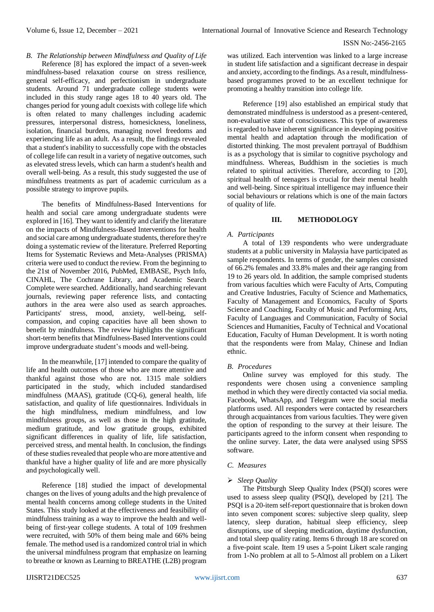*B. The Relationship between Mindfulness and Quality of Life*

Reference [8] has explored the impact of a seven-week mindfulness-based relaxation course on stress resilience, general self-efficacy, and perfectionism in undergraduate students. Around 71 undergraduate college students were included in this study range ages 18 to 40 years old. The changes period for young adult coexists with college life which is often related to many challenges including academic pressures, interpersonal distress, homesickness, loneliness, isolation, financial burdens, managing novel freedoms and experiencing life as an adult. As a result, the findings revealed that a student's inability to successfully cope with the obstacles of college life can result in a variety of negative outcomes, such as elevated stress levels, which can harm a student's health and overall well-being. As a result, this study suggested the use of mindfulness treatments as part of academic curriculum as a possible strategy to improve pupils.

The benefits of Mindfulness-Based Interventions for health and social care among undergraduate students were explored in [16]. They want to identify and clarify the literature on the impacts of Mindfulness-Based Interventions for health and social care among undergraduate students, therefore they're doing a systematic review of the literature. Preferred Reporting Items for Systematic Reviews and Meta-Analyses (PRISMA) criteria were used to conduct the review. From the beginning to the 21st of November 2016, PubMed, EMBASE, Psych Info, CINAHL, The Cochrane Library, and Academic Search Complete were searched. Additionally, hand searching relevant journals, reviewing paper reference lists, and contacting authors in the area were also used as search approaches. Participants' stress, mood, anxiety, well-being, selfcompassion, and coping capacities have all been shown to benefit by mindfulness. The review highlights the significant short-term benefits that Mindfulness-Based Interventions could improve undergraduate student's moods and well-being.

In the meanwhile, [17] intended to compare the quality of life and health outcomes of those who are more attentive and thankful against those who are not. 1315 male soldiers participated in the study, which included standardised mindfulness (MAAS), gratitude (CQ-6), general health, life satisfaction, and quality of life questionnaires. Individuals in the high mindfulness, medium mindfulness, and low mindfulness groups, as well as those in the high gratitude, medium gratitude, and low gratitude groups, exhibited significant differences in quality of life, life satisfaction, perceived stress, and mental health. In conclusion, the findings of these studies revealed that people who are more attentive and thankful have a higher quality of life and are more physically and psychologically well.

Reference [18] studied the impact of developmental changes on the lives of young adults and the high prevalence of mental health concerns among college students in the United States. This study looked at the effectiveness and feasibility of mindfulness training as a way to improve the health and wellbeing of first-year college students. A total of 109 freshmen were recruited, with 50% of them being male and 66% being female. The method used is a randomized control trial in which the universal mindfulness program that emphasize on learning to breathe or known as Learning to BREATHE (L2B) program was utilized. Each intervention was linked to a large increase in student life satisfaction and a significant decrease in despair and anxiety, according to the findings. As a result, mindfulnessbased programmes proved to be an excellent technique for promoting a healthy transition into college life.

Reference [19] also established an empirical study that demonstrated mindfulness is understood as a present-centered, non-evaluative state of consciousness. This type of awareness is regarded to have inherent significance in developing positive mental health and adaptation through the modification of distorted thinking. The most prevalent portrayal of Buddhism is as a psychology that is similar to cognitive psychology and mindfulness. Whereas, Buddhism in the societies is much related to spiritual activities. Therefore, according to [20], spiritual health of teenagers is crucial for their mental health and well-being. Since spiritual intelligence may influence their social behaviours or relations which is one of the main factors of quality of life.

## **III. METHODOLOGY**

## *A. Participants*

A total of 139 respondents who were undergraduate students at a public university in Malaysia have participated as sample respondents. In terms of gender, the samples consisted of 66.2% females and 33.8% males and their age ranging from 19 to 26 years old. In addition, the sample comprised students from various faculties which were Faculty of Arts, Computing and Creative Industries, Faculty of Science and Mathematics, Faculty of Management and Economics, Faculty of Sports Science and Coaching, Faculty of Music and Performing Arts, Faculty of Languages and Communication, Faculty of Social Sciences and Humanities, Faculty of Technical and Vocational Education, Faculty of Human Development. It is worth noting that the respondents were from Malay, Chinese and Indian ethnic.

## *B. Procedures*

Online survey was employed for this study. The respondents were chosen using a convenience sampling method in which they were directly contacted via social media. Facebook, WhatsApp, and Telegram were the social media platforms used. All responders were contacted by researchers through acquaintances from various faculties. They were given the option of responding to the survey at their leisure. The participants agreed to the inform consent when responding to the online survey. Later, the data were analysed using SPSS software.

## *C. Measures*

## *Sleep Quality*

The Pittsburgh Sleep Quality Index (PSQI) scores were used to assess sleep quality (PSQI), developed by [21]. The PSQI is a 20-item self-report questionnaire that is broken down into seven component scores: subjective sleep quality, sleep latency, sleep duration, habitual sleep efficiency, sleep disruptions, use of sleeping medication, daytime dysfunction, and total sleep quality rating. Items 6 through 18 are scored on a five-point scale. Item 19 uses a 5-point Likert scale ranging from 1-No problem at all to 5-Almost all problem on a Likert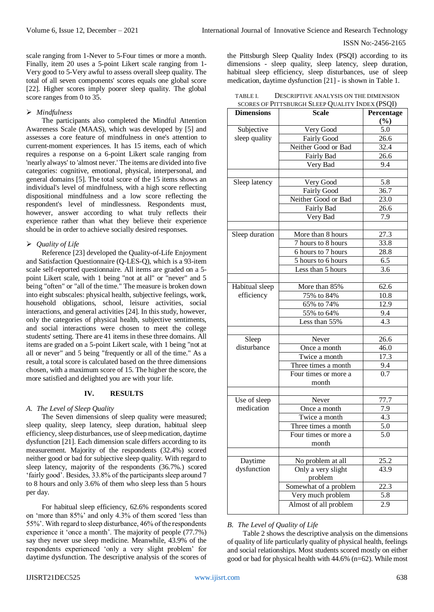scale ranging from 1-Never to 5-Four times or more a month. Finally, item 20 uses a 5-point Likert scale ranging from 1- Very good to 5-Very awful to assess overall sleep quality. The total of all seven components' scores equals one global score [22]. Higher scores imply poorer sleep quality. The global score ranges from 0 to 35.

## *Mindfulness*

The participants also completed the Mindful Attention Awareness Scale (MAAS), which was developed by [5] and assesses a core feature of mindfulness in one's attention to current-moment experiences. It has 15 items, each of which requires a response on a 6-point Likert scale ranging from 'nearly always' to 'almost never.' The items are divided into five categories: cognitive, emotional, physical, interpersonal, and general domains [5]. The total score of the 15 items shows an individual's level of mindfulness, with a high score reflecting dispositional mindfulness and a low score reflecting the respondent's level of mindlessness. Respondents must, however, answer according to what truly reflects their experience rather than what they believe their experience should be in order to achieve socially desired responses.

## *Quality of Life*

Reference [23] developed the Quality-of-Life Enjoyment and Satisfaction Questionnaire (Q-LES-Q), which is a 93-item scale self-reported questionnaire. All items are graded on a 5 point Likert scale, with 1 being "not at all" or "never" and 5 being "often" or "all of the time." The measure is broken down into eight subscales: physical health, subjective feelings, work, household obligations, school, leisure activities, social interactions, and general activities [24]. In this study, however, only the categories of physical health, subjective sentiments, and social interactions were chosen to meet the college students' setting. There are 41 items in these three domains. All items are graded on a 5-point Likert scale, with 1 being "not at all or never" and 5 being "frequently or all of the time." As a result, a total score is calculated based on the three dimensions chosen, with a maximum score of 15. The higher the score, the more satisfied and delighted you are with your life.

# **IV. RESULTS**

## *A. The Level of Sleep Quality*

The Seven dimensions of sleep quality were measured; sleep quality, sleep latency, sleep duration, habitual sleep efficiency, sleep disturbances, use of sleep medication, daytime dysfunction [21]. Each dimension scale differs according to its measurement. Majority of the respondents (32.4%) scored neither good or bad for subjective sleep quality. With regard to sleep latency, majority of the respondents (36.7%.) scored 'fairly good'. Besides, 33.8% of the participants sleep around 7 to 8 hours and only 3.6% of them who sleep less than 5 hours per day.

For habitual sleep efficiency, 62.6% respondents scored on 'more than 85%' and only 4.3% of them scored 'less than 55%'. With regard to sleep disturbance, 46% of the respondents experience it 'once a month'. The majority of people (77.7%) say they never use sleep medicine. Meanwhile, 43.9% of the respondents experienced 'only a very slight problem' for daytime dysfunction. The descriptive analysis of the scores of the Pittsburgh Sleep Quality Index (PSQI) according to its dimensions - sleep quality, sleep latency, sleep duration, habitual sleep efficiency, sleep disturbances, use of sleep medication, daytime dysfunction [21] - is shown in Table 1.

| TABLE I. | DESCRIPTIVE ANALYSIS ON THE DIMENSION           |
|----------|-------------------------------------------------|
|          | SCORES OF PITTSBURGH SLEEP QUALITY INDEX (PSQI) |

| <b>Dimensions</b> | $300$ NES OF THE ISBONON SEEEE QUALITY INDEX (TSQT)<br><b>Scale</b> | Percentage        |
|-------------------|---------------------------------------------------------------------|-------------------|
|                   |                                                                     | (%)               |
| Subjective        | Very Good                                                           | 5.0               |
| sleep quality     | <b>Fairly Good</b>                                                  | 26.6              |
|                   | Neither Good or Bad                                                 | $\overline{32.4}$ |
|                   |                                                                     |                   |
|                   | Fairly Bad                                                          | 26.6              |
|                   | Very Bad                                                            | 9.4               |
|                   |                                                                     | $\overline{5.8}$  |
| Sleep latency     | Very Good                                                           |                   |
|                   | Fairly Good                                                         | 36.7              |
|                   | Neither Good or Bad                                                 | 23.0              |
|                   | Fairly Bad                                                          | 26.6              |
|                   | Very Bad                                                            | 7.9               |
|                   |                                                                     |                   |
| Sleep duration    | More than 8 hours                                                   | 27.3              |
|                   | 7 hours to 8 hours                                                  | 33.8              |
|                   | 6 hours to 7 hours                                                  | $\overline{28.8}$ |
|                   | 5 hours to 6 hours                                                  | 6.5               |
|                   | Less than 5 hours                                                   | 3.6               |
|                   |                                                                     |                   |
| Habitual sleep    | More than 85%                                                       | 62.6              |
| efficiency        | 75% to 84%                                                          | 10.8              |
|                   | 65% to 74%                                                          | 12.9              |
|                   | 55% to 64%                                                          | 9.4               |
|                   | Less than 55%                                                       | 4.3               |
|                   |                                                                     |                   |
| Sleep             | Never                                                               | 26.6              |
| disturbance       | Once a month                                                        | 46.0              |
|                   | Twice a month                                                       | 17.3              |
|                   | Three times a month                                                 | 9.4               |
|                   | Four times or more a                                                | 0.7               |
|                   | month                                                               |                   |
|                   |                                                                     |                   |
| Use of sleep      | Never                                                               | 77.7              |
| medication        | Once a month                                                        | 7.9               |
|                   | Twice a month                                                       | $4.\overline{3}$  |
|                   | Three times a month                                                 | 5.0               |
|                   | Four times or more a                                                | 5.0               |
|                   | month                                                               |                   |
|                   |                                                                     |                   |
| Daytime           | No problem at all                                                   | 25.2              |
| dysfunction       | Only a very slight                                                  | 43.9              |
|                   | problem                                                             |                   |
|                   | Somewhat of a problem                                               | 22.3              |
|                   | Very much problem                                                   |                   |
|                   |                                                                     | 5.8               |
|                   | Almost of all problem                                               | 2.9               |

## *B. The Level of Quality of Life*

Table 2 shows the descriptive analysis on the dimensions of quality of life particularly quality of physical health, feelings and social relationships. Most students scored mostly on either good or bad for physical health with 44.6% (n=62). While most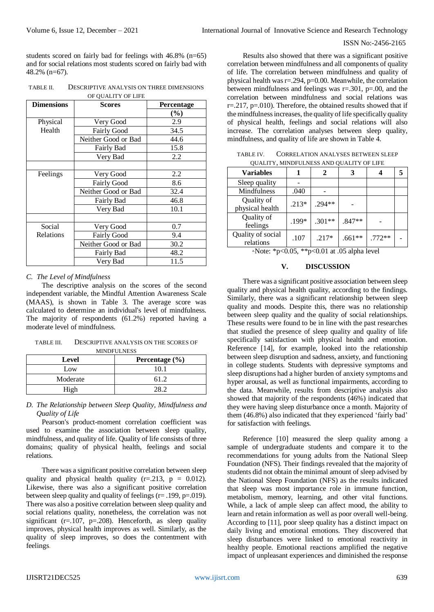students scored on fairly bad for feelings with 46.8% (n=65) and for social relations most students scored on fairly bad with 48.2% (n=67).

TABLE II. DESCRIPTIVE ANALYSIS ON THREE DIMENSIONS OF OUALITY OF LIFE

| <b>Dimensions</b> | <b>Scores</b>       | Percentage |  |
|-------------------|---------------------|------------|--|
|                   |                     | $(\%)$     |  |
| Physical          | Very Good           | 2.9        |  |
| Health            | Fairly Good         | 34.5       |  |
|                   | Neither Good or Bad | 44.6       |  |
|                   | Fairly Bad          | 15.8       |  |
|                   | Very Bad            | 2.2        |  |
|                   |                     |            |  |
| Feelings          | Very Good           | 2.2        |  |
|                   | Fairly Good         | 8.6        |  |
|                   | Neither Good or Bad | 32.4       |  |
|                   | Fairly Bad          | 46.8       |  |
|                   | Very Bad            | 10.1       |  |
|                   |                     |            |  |
| Social            | Very Good           | 0.7        |  |
| Relations         | Fairly Good         | 9.4        |  |
|                   | Neither Good or Bad | 30.2       |  |
|                   | Fairly Bad          | 48.2       |  |
|                   | Very Bad            | 11.5       |  |

#### *C. The Level of Mindfulness*

The descriptive analysis on the scores of the second independent variable, the Mindful Attention Awareness Scale (MAAS), is shown in Table 3. The average score was calculated to determine an individual's level of mindfulness. The majority of respondents (61.2%) reported having a moderate level of mindfulness.

TABLE III. DESCRIPTIVE ANALYSIS ON THE SCORES OF MINDFULNESS

| Level    | Percentage $(\% )$ |
|----------|--------------------|
| Low      | 10.1               |
| Moderate | 61.2               |
| High     |                    |

#### *D. The Relationship between Sleep Quality, Mindfulness and Quality of Life*

Pearson's product-moment correlation coefficient was used to examine the association between sleep quality, mindfulness, and quality of life. Quality of life consists of three domains; quality of physical health, feelings and social relations.

There was a significant positive correlation between sleep quality and physical health quality  $(r=.213, p = 0.012)$ . Likewise, there was also a significant positive correlation between sleep quality and quality of feelings (r= .199, p=.019). There was also a positive correlation between sleep quality and social relations quality, nonetheless, the correlation was not significant ( $r=107$ ,  $p=.208$ ). Henceforth, as sleep quality improves, physical health improves as well. Similarly, as the quality of sleep improves, so does the contentment with feelings.

Results also showed that there was a significant positive correlation between mindfulness and all components of quality of life. The correlation between mindfulness and quality of physical health was  $r = 0.294$ ,  $p = 0.00$ . Meanwhile, the correlation between mindfulness and feelings was  $r=.301$ ,  $p=.00$ , and the correlation between mindfulness and social relations was  $r = 217$ ,  $p = 010$ ). Therefore, the obtained results showed that if the mindfulness increases, the quality of life specifically quality of physical health, feelings and social relations will also increase. The correlation analyses between sleep quality, mindfulness, and quality of life are shown in Table 4.

TABLE IV. CORRELATION ANALYSES BETWEEN SLEEP QUALITY, MINDFULNESS AND QUALITY OF LIFE

| OUALITT, MINDI ULINESS AND OUALITT OF LIFE |         |          |          |          |   |  |  |  |
|--------------------------------------------|---------|----------|----------|----------|---|--|--|--|
| <b>Variables</b>                           |         |          |          |          | 5 |  |  |  |
| Sleep quality                              |         |          |          |          |   |  |  |  |
| Mindfulness                                | .040    |          |          |          |   |  |  |  |
| Quality of<br>physical health              | $.213*$ | $.294**$ |          |          |   |  |  |  |
| Quality of<br>feelings                     | .199*   | $.301**$ | $.847**$ |          |   |  |  |  |
| Quality of social<br>relations             | .107    | $.217*$  | $.661**$ | $.772**$ |   |  |  |  |

a. Note: \*p<0.05, \*\*p<0.01 at .05 alpha level

## **V. DISCUSSION**

There was a significant positive association between sleep quality and physical health quality, according to the findings. Similarly, there was a significant relationship between sleep quality and moods. Despite this, there was no relationship between sleep quality and the quality of social relationships. These results were found to be in line with the past researches that studied the presence of sleep quality and quality of life specifically satisfaction with physical health and emotion. Reference [14], for example, looked into the relationship between sleep disruption and sadness, anxiety, and functioning in college students. Students with depressive symptoms and sleep disruptions had a higher burden of anxiety symptoms and hyper arousal, as well as functional impairments, according to the data. Meanwhile, results from descriptive analysis also showed that majority of the respondents (46%) indicated that they were having sleep disturbance once a month. Majority of them (46.8%) also indicated that they experienced 'fairly bad' for satisfaction with feelings.

Reference [10] measured the sleep quality among a sample of undergraduate students and compare it to the recommendations for young adults from the National Sleep Foundation (NFS). Their findings revealed that the majority of students did not obtain the minimal amount of sleep advised by the National Sleep Foundation (NFS) as the results indicated that sleep was most importance role in immune function, metabolism, memory, learning, and other vital functions. While, a lack of ample sleep can affect mood, the ability to learn and retain information as well as poor overall well-being. According to [11], poor sleep quality has a distinct impact on daily living and emotional emotions. They discovered that sleep disturbances were linked to emotional reactivity in healthy people. Emotional reactions amplified the negative impact of unpleasant experiences and diminished the response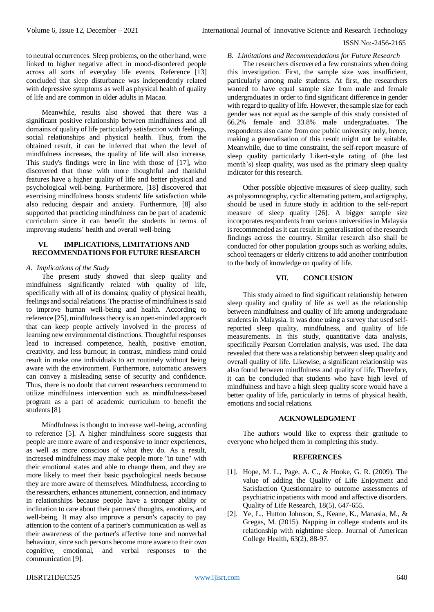to neutral occurrences. Sleep problems, on the other hand, were linked to higher negative affect in mood-disordered people across all sorts of everyday life events. Reference [13] concluded that sleep disturbance was independently related with depressive symptoms as well as physical health of quality of life and are common in older adults in Macao.

Meanwhile, results also showed that there was a significant positive relationship between mindfulness and all domains of quality of life particularly satisfaction with feelings, social relationships and physical health. Thus, from the obtained result, it can be inferred that when the level of mindfulness increases, the quality of life will also increase. This study's findings were in line with those of [17], who discovered that those with more thoughtful and thankful features have a higher quality of life and better physical and psychological well-being. Furthermore, [18] discovered that exercising mindfulness boosts students' life satisfaction while also reducing despair and anxiety. Furthermore, [8] also supported that practicing mindfulness can be part of academic curriculum since it can benefit the students in terms of improving students' health and overall well-being.

## **VI. IMPLICATIONS, LIMITATIONS AND RECOMMENDATIONS FOR FUTURE RESEARCH**

#### *A. Implications of the Study*

The present study showed that sleep quality and mindfulness significantly related with quality of life, specifically with all of its domains; quality of physical health, feelings and social relations. The practise of mindfulness is said to improve human well-being and health. According to reference [25], mindfulness theory is an open-minded approach that can keep people actively involved in the process of learning new environmental distinctions. Thoughtful responses lead to increased competence, health, positive emotion, creativity, and less burnout; in contrast, mindless mind could result in make one individuals to act routinely without being aware with the environment. Furthermore, automatic answers can convey a misleading sense of security and confidence. Thus, there is no doubt that current researchers recommend to utilize mindfulness intervention such as mindfulness-based program as a part of academic curriculum to benefit the students [8].

Mindfulness is thought to increase well-being, according to reference [5]. A higher mindfulness score suggests that people are more aware of and responsive to inner experiences, as well as more conscious of what they do. As a result, increased mindfulness may make people more "in tune" with their emotional states and able to change them, and they are more likely to meet their basic psychological needs because they are more aware of themselves. Mindfulness, according to the researchers, enhances attunement, connection, and intimacy in relationships because people have a stronger ability or inclination to care about their partners' thoughts, emotions, and well-being. It may also improve a person's capacity to pay attention to the content of a partner's communication as well as their awareness of the partner's affective tone and nonverbal behaviour, since such persons become more aware to their own cognitive, emotional, and verbal responses to the communication [9].

#### *B. Limitations and Recommendations for Future Research*

The researchers discovered a few constraints when doing this investigation. First, the sample size was insufficient, particularly among male students. At first, the researchers wanted to have equal sample size from male and female undergraduates in order to find significant difference in gender with regard to quality of life. However, the sample size for each gender was not equal as the sample of this study consisted of 66.2% female and 33.8% male undergraduates. The respondents also came from one public university only, hence, making a generalisation of this result might not be suitable. Meanwhile, due to time constraint, the self-report measure of sleep quality particularly Likert-style rating of (the last month's) sleep quality, was used as the primary sleep quality indicator for this research.

Other possible objective measures of sleep quality, such as polysomnography, cyclic alternating pattern, and actigraphy, should be used in future study in addition to the self-report measure of sleep quality [26]. A bigger sample size incorporates respondents from various universities in Malaysia is recommended as it can result in generalisation of the research findings across the country. Similar research also shall be conducted for other population groups such as working adults, school teenagers or elderly citizens to add another contribution to the body of knowledge on quality of life.

#### **VII. CONCLUSION**

This study aimed to find significant relationship between sleep quality and quality of life as well as the relationship between mindfulness and quality of life among undergraduate students in Malaysia. It was done using a survey that used selfreported sleep quality, mindfulness, and quality of life measurements. In this study, quantitative data analysis, specifically Pearson Correlation analysis, was used. The data revealed that there was a relationship between sleep quality and overall quality of life. Likewise, a significant relationship was also found between mindfulness and quality of life. Therefore, it can be concluded that students who have high level of mindfulness and have a high sleep quality score would have a better quality of life, particularly in terms of physical health, emotions and social relations.

## **ACKNOWLEDGMENT**

The authors would like to express their gratitude to everyone who helped them in completing this study.

#### **REFERENCES**

- [1]. Hope, M. L., Page, A. C., & Hooke, G. R. (2009). The value of adding the Quality of Life Enjoyment and Satisfaction Questionnaire to outcome assessments of psychiatric inpatients with mood and affective disorders. Quality of Life Research, 18(5), 647-655.
- [2]. Ye, L., Hutton Johnson, S., Keane, K., Manasia, M., & Gregas, M. (2015). Napping in college students and its relationship with nighttime sleep. Journal of American College Health, 63(2), 88-97.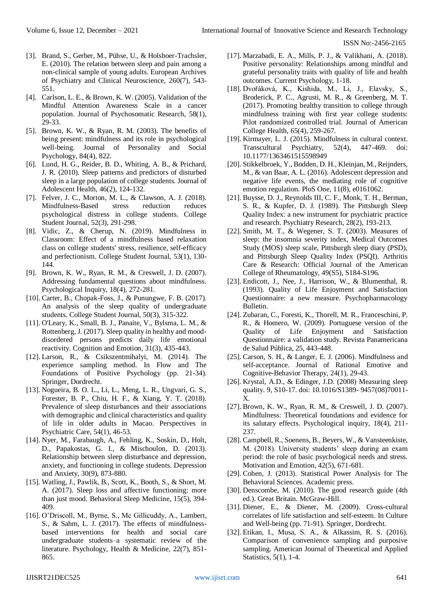- [3]. Brand, S., Gerber, M., Pühse, U., & Holsboer-Trachsler, E. (2010). The relation between sleep and pain among a non-clinical sample of young adults. European Archives of Psychiatry and Clinical Neuroscience, 260(7), 543- 551.
- [4]. Carlson, L. E., & Brown, K. W. (2005). Validation of the Mindful Attention Awareness Scale in a cancer population. Journal of Psychosomatic Research, 58(1), 29-33.
- [5]. Brown, K. W., & Ryan, R. M. (2003). The benefits of being present: mindfulness and its role in psychological well-being. Journal of Personality and Social Psychology, 84(4), 822.
- [6]. Lund, H. G., Reider, B. D., Whiting, A. B., & Prichard, J. R. (2010). Sleep patterns and predictors of disturbed sleep in a large population of college students. Journal of Adolescent Health, 46(2), 124-132.
- [7]. Felver, J. C., Morton, M. L., & Clawson, A. J. (2018). Mindfulness-Based stress reduction reduces psychological distress in college students. College Student Journal, 52(3), 291-298.
- [8]. Vidic, Z., & Cherup, N. (2019). Mindfulness in Classroom: Effect of a mindfulness based relaxation class on college students' stress, resilience, self-efficacy and perfectionism. College Student Journal, 53(1), 130- 144.
- [9]. Brown, K. W., Ryan, R. M., & Creswell, J. D. (2007). Addressing fundamental questions about mindfulness. Psychological Inquiry, 18(4), 272-281.
- [10]. Carter, B., Chopak-Foss, J., & Punungwe, F. B. (2017). An analysis of the sleep quality of undergraduate students. College Student Journal, 50(3), 315-322.
- [11]. O'Leary, K., Small, B. J., Panaite, V., Bylsma, L. M., & Rottenberg, J. (2017). Sleep quality in healthy and mooddisordered persons predicts daily life emotional reactivity. Cognition and Emotion, 31(3), 435-443.
- [12]. Larson, R., & Csikszentmihalyi, M. (2014). The experience sampling method. In Flow and The Foundations of Positive Psychology (pp. 21-34). Springer, Dordrecht.
- [13]. Nogueira, B. O. L., Li, L., Meng, L. R., Ungvari, G. S., Forester, B. P., Chiu, H. F., & Xiang, Y. T. (2018). Prevalence of sleep disturbances and their associations with demographic and clinical characteristics and quality of life in older adults in Macao. Perspectives in Psychiatric Care, 54(1), 46-53.
- [14]. Nyer, M., Farabaugh, A., Fehling, K., Soskin, D., Holt, D., Papakostas, G. I., & Mischoulon, D. (2013). Relationship between sleep disturbance and depression, anxiety, and functioning in college students. Depression and Anxiety, 30(9), 873-880.
- [15]. Watling, J., Pawlik, B., Scott, K., Booth, S., & Short, M. A. (2017). Sleep loss and affective functioning: more than just mood. Behavioral Sleep Medicine, 15(5), 394- 409.
- [16]. O'Driscoll, M., Byrne, S., Mc Gillicuddy, A., Lambert, S., & Sahm, L. J. (2017). The effects of mindfulnessbased interventions for health and social care undergraduate students–a systematic review of the literature. Psychology, Health & Medicine, 22(7), 851- 865.
- [17]. Marzabadi, E. A., Mills, P. J., & Valikhani, A. (2018). Positive personality: Relationships among mindful and grateful personality traits with quality of life and health outcomes. Current Psychology, 1-18.
- [18]. Dvořáková, K., Kishida, M., Li, J., Elavsky, S., Broderick, P. C., Agrusti, M. R., & Greenberg, M. T. (2017). Promoting healthy transition to college through mindfulness training with first year college students: Pilot randomized controlled trial. Journal of American College Health, 65(4), 259-267.
- [19]. Kirmayer, L. J. (2015). Mindfulness in cultural context. Transcultural Psychiatry, 52(4), 447-469. doi: 10.1177/1363461515598949
- [20]. Stikkelbroek, Y., Bodden, D. H., Kleinjan, M., Reijnders, M., & van Baar, A. L. (2016). Adolescent depression and negative life events, the mediating role of cognitive emotion regulation. PloS One, 11(8), e0161062.
- [21]. Buysse, D. J., Reynolds III, C. F., Monk, T. H., Berman, S. R., & Kupfer, D. J. (1989). The Pittsburgh Sleep Quality Index: a new instrument for psychiatric practice and research. Psychiatry Research, 28(2), 193-213.
- [22]. Smith, M. T., & Wegener, S. T. (2003). Measures of sleep: the insomnia severity index, Medical Outcomes Study (MOS) sleep scale, Pittsburgh sleep diary (PSD), and Pittsburgh Sleep Quality Index (PSQI). Arthritis Care & Research: Official Journal of the American College of Rheumatology, 49(S5), S184-S196.
- [23]. Endicott, J., Nee, J., Harrison, W., & Blumenthal, R. (1993). Quality of Life Enjoyment and Satisfaction Questionnaire: a new measure. Psychopharmacology Bulletin.
- [24]. Zubaran, C., Foresti, K., Thorell, M. R., Franceschini, P. R., & Homero, W. (2009). Portuguese version of the Quality of Life Enjoyment and Satisfaction Questionnaire: a validation study. Revista Panamericana de Salud Pública, 25, 443-448.
- [25]. Carson, S. H., & Langer, E. J. (2006). Mindfulness and self-acceptance. Journal of Rational Emotive and Cognitive-Behavior Therapy, 24(1), 29-43.
- [26]. Krystal, A.D., & Edinger, J.D. (2008) Measuring sleep quality. 9, S10-17. doi: 10.1016/S1389- 9457(08)70011- X.
- [27]. Brown, K. W., Ryan, R. M., & Creswell, J. D. (2007). Mindfulness: Theoretical foundations and evidence for its salutary effects. Psychological inquiry, 18(4), 211- 237.
- [28]. Campbell, R., Soenens, B., Beyers, W., & Vansteenkiste, M. (2018). University students' sleep during an exam period: the role of basic psychological needs and stress. Motivation and Emotion, 42(5), 671-681.
- [29]. Cohen, J. (2013). Statistical Power Analysis for The Behavioral Sciences. Academic press.
- [30]. Denscombe, M. (2010). The good research guide (4th ed.). Great Britain. McGraw-Hill.
- [31]. Diener, E., & Diener, M. (2009). Cross-cultural correlates of life satisfaction and self-esteem. In Culture and Well-being (pp. 71-91). Springer, Dordrecht.
- [32]. Etikan, I., Musa, S. A., & Alkassim, R. S. (2016). Comparison of convenience sampling and purposive sampling. American Journal of Theoretical and Applied Statistics, 5(1), 1-4.